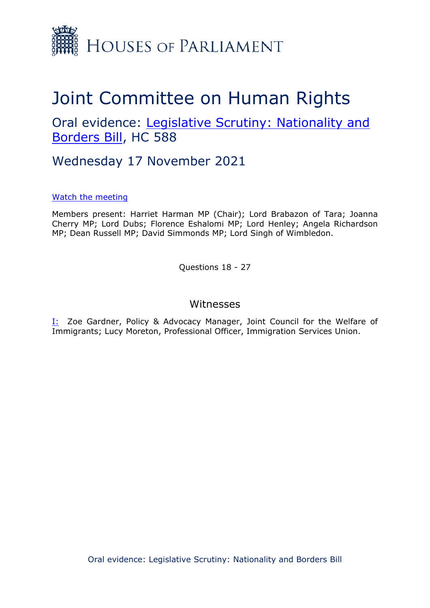

## Joint Committee on Human Rights

Oral evidence: [Legislative](https://committees.parliament.uk/work/1415/legislative-scrutiny-nationality-and-borders-bill/) [Scrutiny:](https://committees.parliament.uk/work/1415/legislative-scrutiny-nationality-and-borders-bill/) [Nationality](https://committees.parliament.uk/work/1415/legislative-scrutiny-nationality-and-borders-bill/) [and](https://committees.parliament.uk/work/1415/legislative-scrutiny-nationality-and-borders-bill/) [Borders](https://committees.parliament.uk/work/1415/legislative-scrutiny-nationality-and-borders-bill/) [Bill,](https://committees.parliament.uk/work/1415/legislative-scrutiny-nationality-and-borders-bill/) HC 588

Wednesday 17 November 2021

## [Watch](https://parliamentlive.tv/event/index/22d9acd5-b724-409e-b3ce-2b4c1455099a?in=15:00:10) [the](https://parliamentlive.tv/event/index/22d9acd5-b724-409e-b3ce-2b4c1455099a?in=15:00:10) [meeting](https://parliamentlive.tv/event/index/22d9acd5-b724-409e-b3ce-2b4c1455099a?in=15:00:10)

Members present: Harriet Harman MP (Chair); Lord Brabazon of Tara; Joanna Cherry MP; Lord Dubs; Florence Eshalomi MP; Lord Henley; Angela Richardson MP; Dean Russell MP; David Simmonds MP; Lord Singh of Wimbledon.

Questions 18 - 27

## Witnesses

I: Zoe Gardner, Policy & Advocacy Manager, Joint Council for the Welfare of Immigrants; Lucy Moreton, Professional Officer, Immigration Services Union.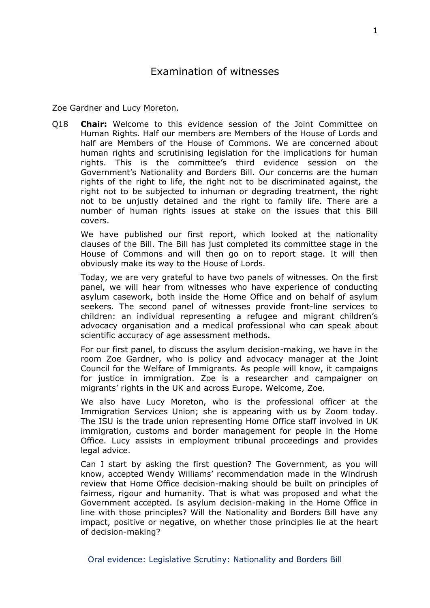Zoe Gardner and Lucy Moreton.

Q18 **Chair:** Welcome to this evidence session of the Joint Committee on Human Rights. Half our members are Members of the House of Lords and half are Members of the House of Commons. We are concerned about human rights and scrutinising legislation for the implications for human rights. This is the committee's third evidence session on the Government's Nationality and Borders Bill. Our concerns are the human rights of the right to life, the right not to be discriminated against, the right not to be subjected to inhuman or degrading treatment, the right not to be unjustly detained and the right to family life. There are a number of human rights issues at stake on the issues that this Bill covers.

We have published our first report, which looked at the nationality clauses of the Bill. The Bill has just completed its committee stage in the House of Commons and will then go on to report stage. It will then obviously make its way to the House of Lords.

Today, we are very grateful to have two panels of witnesses. On the first panel, we will hear from witnesses who have experience of conducting asylum casework, both inside the Home Office and on behalf of asylum seekers. The second panel of witnesses provide front-line services to children: an individual representing a refugee and migrant children's advocacy organisation and a medical professional who can speak about scientific accuracy of age assessment methods.

For our first panel, to discuss the asylum decision-making, we have in the room Zoe Gardner, who is policy and advocacy manager at the Joint Council for the Welfare of Immigrants. As people will know, it campaigns for justice in immigration. Zoe is a researcher and campaigner on migrants' rights in the UK and across Europe. Welcome, Zoe.

We also have Lucy Moreton, who is the professional officer at the Immigration Services Union; she is appearing with us by Zoom today. The ISU is the trade union representing Home Office staff involved in UK immigration, customs and border management for people in the Home Office. Lucy assists in employment tribunal proceedings and provides legal advice.

Can I start by asking the first question? The Government, as you will know, accepted Wendy Williams' recommendation made in the Windrush review that Home Office decision-making should be built on principles of fairness, rigour and humanity. That is what was proposed and what the Government accepted. Is asylum decision-making in the Home Office in line with those principles? Will the Nationality and Borders Bill have any impact, positive or negative, on whether those principles lie at the heart of decision-making?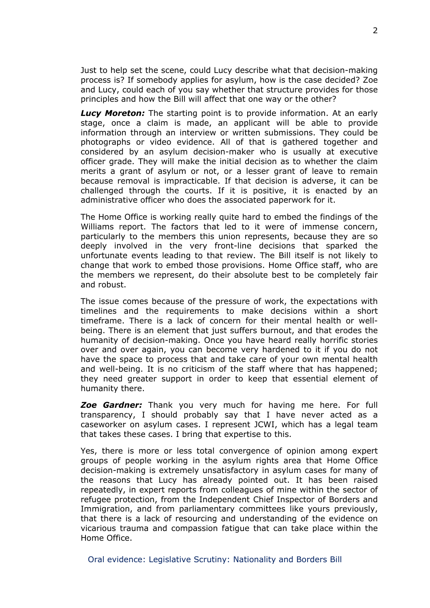Just to help set the scene, could Lucy describe what that decision-making process is? If somebody applies for asylum, how is the case decided? Zoe and Lucy, could each of you say whether that structure provides for those principles and how the Bill will affect that one way or the other?

*Lucy Moreton:* The starting point is to provide information. At an early stage, once a claim is made, an applicant will be able to provide information through an interview or written submissions. They could be photographs or video evidence. All of that is gathered together and considered by an asylum decision-maker who is usually at executive officer grade. They will make the initial decision as to whether the claim merits a grant of asylum or not, or a lesser grant of leave to remain because removal is impracticable. If that decision is adverse, it can be challenged through the courts. If it is positive, it is enacted by an administrative officer who does the associated paperwork for it.

The Home Office is working really quite hard to embed the findings of the Williams report. The factors that led to it were of immense concern, particularly to the members this union represents, because they are so deeply involved in the very front-line decisions that sparked the unfortunate events leading to that review. The Bill itself is not likely to change that work to embed those provisions. Home Office staff, who are the members we represent, do their absolute best to be completely fair and robust.

The issue comes because of the pressure of work, the expectations with timelines and the requirements to make decisions within a short timeframe. There is a lack of concern for their mental health or wellbeing. There is an element that just suffers burnout, and that erodes the humanity of decision-making. Once you have heard really horrific stories over and over again, you can become very hardened to it if you do not have the space to process that and take care of your own mental health and well-being. It is no criticism of the staff where that has happened; they need greater support in order to keep that essential element of humanity there.

*Zoe Gardner:* Thank you very much for having me here. For full transparency, I should probably say that I have never acted as a caseworker on asylum cases. I represent JCWI, which has a legal team that takes these cases. I bring that expertise to this.

Yes, there is more or less total convergence of opinion among expert groups of people working in the asylum rights area that Home Office decision-making is extremely unsatisfactory in asylum cases for many of the reasons that Lucy has already pointed out. It has been raised repeatedly, in expert reports from colleagues of mine within the sector of refugee protection, from the Independent Chief Inspector of Borders and Immigration, and from parliamentary committees like yours previously, that there is a lack of resourcing and understanding of the evidence on vicarious trauma and compassion fatigue that can take place within the Home Office.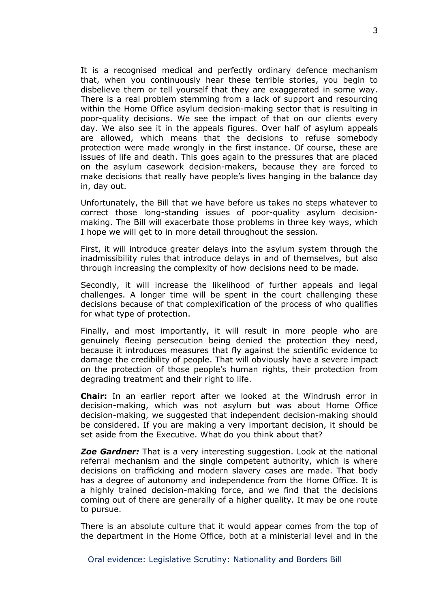It is a recognised medical and perfectly ordinary defence mechanism that, when you continuously hear these terrible stories, you begin to disbelieve them or tell yourself that they are exaggerated in some way. There is a real problem stemming from a lack of support and resourcing within the Home Office asylum decision-making sector that is resulting in poor-quality decisions. We see the impact of that on our clients every day. We also see it in the appeals figures. Over half of asylum appeals are allowed, which means that the decisions to refuse somebody protection were made wrongly in the first instance. Of course, these are issues of life and death. This goes again to the pressures that are placed on the asylum casework decision-makers, because they are forced to make decisions that really have people's lives hanging in the balance day in, day out.

Unfortunately, the Bill that we have before us takes no steps whatever to correct those long-standing issues of poor-quality asylum decisionmaking. The Bill will exacerbate those problems in three key ways, which I hope we will get to in more detail throughout the session.

First, it will introduce greater delays into the asylum system through the inadmissibility rules that introduce delays in and of themselves, but also through increasing the complexity of how decisions need to be made.

Secondly, it will increase the likelihood of further appeals and legal challenges. A longer time will be spent in the court challenging these decisions because of that complexification of the process of who qualifies for what type of protection.

Finally, and most importantly, it will result in more people who are genuinely fleeing persecution being denied the protection they need, because it introduces measures that fly against the scientific evidence to damage the credibility of people. That will obviously have a severe impact on the protection of those people's human rights, their protection from degrading treatment and their right to life.

**Chair:** In an earlier report after we looked at the Windrush error in decision-making, which was not asylum but was about Home Office decision-making, we suggested that independent decision-making should be considered. If you are making a very important decision, it should be set aside from the Executive. What do you think about that?

*Zoe Gardner:* That is a very interesting suggestion. Look at the national referral mechanism and the single competent authority, which is where decisions on trafficking and modern slavery cases are made. That body has a degree of autonomy and independence from the Home Office. It is a highly trained decision-making force, and we find that the decisions coming out of there are generally of a higher quality. It may be one route to pursue.

There is an absolute culture that it would appear comes from the top of the department in the Home Office, both at a ministerial level and in the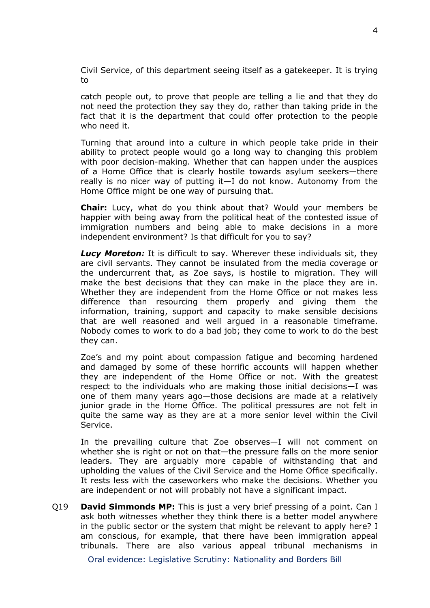Civil Service, of this department seeing itself as a gatekeeper. It is trying to

catch people out, to prove that people are telling a lie and that they do not need the protection they say they do, rather than taking pride in the fact that it is the department that could offer protection to the people who need it.

Turning that around into a culture in which people take pride in their ability to protect people would go a long way to changing this problem with poor decision-making. Whether that can happen under the auspices of a Home Office that is clearly hostile towards asylum seekers—there really is no nicer way of putting it—I do not know. Autonomy from the Home Office might be one way of pursuing that.

**Chair:** Lucy, what do you think about that? Would your members be happier with being away from the political heat of the contested issue of immigration numbers and being able to make decisions in a more independent environment? Is that difficult for you to say?

*Lucy Moreton:* It is difficult to say. Wherever these individuals sit, they are civil servants. They cannot be insulated from the media coverage or the undercurrent that, as Zoe says, is hostile to migration. They will make the best decisions that they can make in the place they are in. Whether they are independent from the Home Office or not makes less difference than resourcing them properly and giving them the information, training, support and capacity to make sensible decisions that are well reasoned and well argued in a reasonable timeframe. Nobody comes to work to do a bad job; they come to work to do the best they can.

Zoe's and my point about compassion fatigue and becoming hardened and damaged by some of these horrific accounts will happen whether they are independent of the Home Office or not. With the greatest respect to the individuals who are making those initial decisions—I was one of them many years ago—those decisions are made at a relatively junior grade in the Home Office. The political pressures are not felt in quite the same way as they are at a more senior level within the Civil Service.

In the prevailing culture that Zoe observes—I will not comment on whether she is right or not on that—the pressure falls on the more senior leaders. They are arguably more capable of withstanding that and upholding the values of the Civil Service and the Home Office specifically. It rests less with the caseworkers who make the decisions. Whether you are independent or not will probably not have a significant impact.

Q19 **David Simmonds MP:** This is just a very brief pressing of a point. Can I ask both witnesses whether they think there is a better model anywhere in the public sector or the system that might be relevant to apply here? I am conscious, for example, that there have been immigration appeal tribunals. There are also various appeal tribunal mechanisms in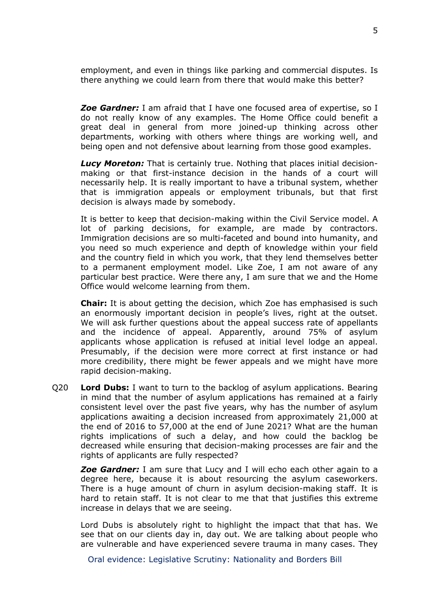employment, and even in things like parking and commercial disputes. Is there anything we could learn from there that would make this better?

*Zoe Gardner:* I am afraid that I have one focused area of expertise, so I do not really know of any examples. The Home Office could benefit a great deal in general from more joined-up thinking across other departments, working with others where things are working well, and being open and not defensive about learning from those good examples.

*Lucy Moreton:* That is certainly true. Nothing that places initial decisionmaking or that first-instance decision in the hands of a court will necessarily help. It is really important to have a tribunal system, whether that is immigration appeals or employment tribunals, but that first decision is always made by somebody.

It is better to keep that decision-making within the Civil Service model. A lot of parking decisions, for example, are made by contractors. Immigration decisions are so multi-faceted and bound into humanity, and you need so much experience and depth of knowledge within your field and the country field in which you work, that they lend themselves better to a permanent employment model. Like Zoe, I am not aware of any particular best practice. Were there any, I am sure that we and the Home Office would welcome learning from them.

**Chair:** It is about getting the decision, which Zoe has emphasised is such an enormously important decision in people's lives, right at the outset. We will ask further questions about the appeal success rate of appellants and the incidence of appeal. Apparently, around 75% of asylum applicants whose application is refused at initial level lodge an appeal. Presumably, if the decision were more correct at first instance or had more credibility, there might be fewer appeals and we might have more rapid decision-making.

Q20 **Lord Dubs:** I want to turn to the backlog of asylum applications. Bearing in mind that the number of asylum applications has remained at a fairly consistent level over the past five years, why has the number of asylum applications awaiting a decision increased from approximately 21,000 at the end of 2016 to 57,000 at the end of June 2021? What are the human rights implications of such a delay, and how could the backlog be decreased while ensuring that decision-making processes are fair and the rights of applicants are fully respected?

*Zoe Gardner:* I am sure that Lucy and I will echo each other again to a degree here, because it is about resourcing the asylum caseworkers. There is a huge amount of churn in asylum decision-making staff. It is hard to retain staff. It is not clear to me that that justifies this extreme increase in delays that we are seeing.

Lord Dubs is absolutely right to highlight the impact that that has. We see that on our clients day in, day out. We are talking about people who are vulnerable and have experienced severe trauma in many cases. They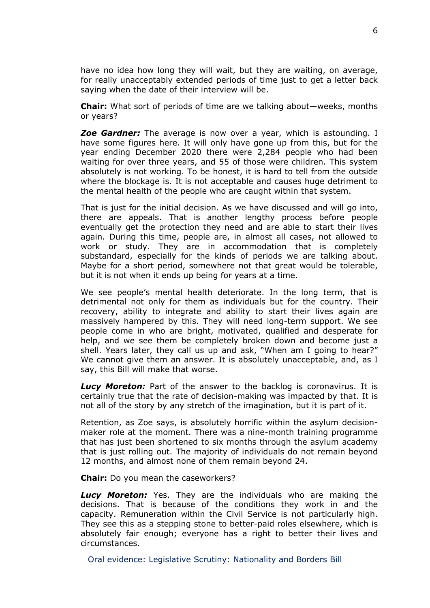have no idea how long they will wait, but they are waiting, on average, for really unacceptably extended periods of time just to get a letter back saying when the date of their interview will be.

**Chair:** What sort of periods of time are we talking about—weeks, months or years?

*Zoe Gardner:* The average is now over a year, which is astounding. I have some figures here. It will only have gone up from this, but for the year ending December 2020 there were 2,284 people who had been waiting for over three years, and 55 of those were children. This system absolutely is not working. To be honest, it is hard to tell from the outside where the blockage is. It is not acceptable and causes huge detriment to the mental health of the people who are caught within that system.

That is just for the initial decision. As we have discussed and will go into, there are appeals. That is another lengthy process before people eventually get the protection they need and are able to start their lives again. During this time, people are, in almost all cases, not allowed to work or study. They are in accommodation that is completely substandard, especially for the kinds of periods we are talking about. Maybe for a short period, somewhere not that great would be tolerable, but it is not when it ends up being for years at a time.

We see people's mental health deteriorate. In the long term, that is detrimental not only for them as individuals but for the country. Their recovery, ability to integrate and ability to start their lives again are massively hampered by this. They will need long-term support. We see people come in who are bright, motivated, qualified and desperate for help, and we see them be completely broken down and become just a shell. Years later, they call us up and ask, "When am I going to hear?" We cannot give them an answer. It is absolutely unacceptable, and, as I say, this Bill will make that worse.

*Lucy Moreton:* Part of the answer to the backlog is coronavirus. It is certainly true that the rate of decision-making was impacted by that. It is not all of the story by any stretch of the imagination, but it is part of it.

Retention, as Zoe says, is absolutely horrific within the asylum decisionmaker role at the moment. There was a nine-month training programme that has just been shortened to six months through the asylum academy that is just rolling out. The majority of individuals do not remain beyond 12 months, and almost none of them remain beyond 24.

**Chair:** Do you mean the caseworkers?

*Lucy Moreton:* Yes. They are the individuals who are making the decisions. That is because of the conditions they work in and the capacity. Remuneration within the Civil Service is not particularly high. They see this as a stepping stone to better-paid roles elsewhere, which is absolutely fair enough; everyone has a right to better their lives and circumstances.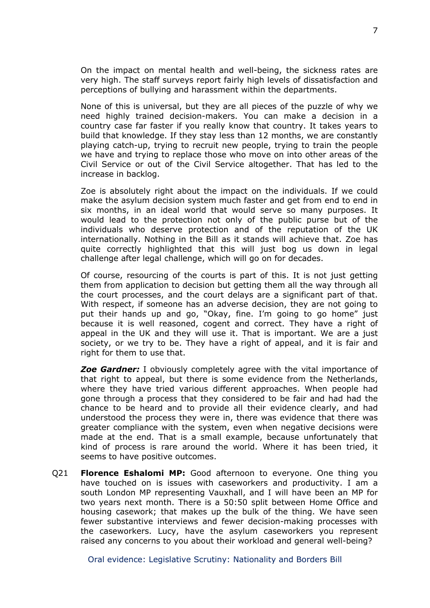On the impact on mental health and well-being, the sickness rates are very high. The staff surveys report fairly high levels of dissatisfaction and perceptions of bullying and harassment within the departments.

None of this is universal, but they are all pieces of the puzzle of why we need highly trained decision-makers. You can make a decision in a country case far faster if you really know that country. It takes years to build that knowledge. If they stay less than 12 months, we are constantly playing catch-up, trying to recruit new people, trying to train the people we have and trying to replace those who move on into other areas of the Civil Service or out of the Civil Service altogether. That has led to the increase in backlog.

Zoe is absolutely right about the impact on the individuals. If we could make the asylum decision system much faster and get from end to end in six months, in an ideal world that would serve so many purposes. It would lead to the protection not only of the public purse but of the individuals who deserve protection and of the reputation of the UK internationally. Nothing in the Bill as it stands will achieve that. Zoe has quite correctly highlighted that this will just bog us down in legal challenge after legal challenge, which will go on for decades.

Of course, resourcing of the courts is part of this. It is not just getting them from application to decision but getting them all the way through all the court processes, and the court delays are a significant part of that. With respect, if someone has an adverse decision, they are not going to put their hands up and go, "Okay, fine. I'm going to go home" just because it is well reasoned, cogent and correct. They have a right of appeal in the UK and they will use it. That is important. We are a just society, or we try to be. They have a right of appeal, and it is fair and right for them to use that.

*Zoe Gardner:* I obviously completely agree with the vital importance of that right to appeal, but there is some evidence from the Netherlands, where they have tried various different approaches. When people had gone through a process that they considered to be fair and had had the chance to be heard and to provide all their evidence clearly, and had understood the process they were in, there was evidence that there was greater compliance with the system, even when negative decisions were made at the end. That is a small example, because unfortunately that kind of process is rare around the world. Where it has been tried, it seems to have positive outcomes.

Q21 **Florence Eshalomi MP:** Good afternoon to everyone. One thing you have touched on is issues with caseworkers and productivity. I am a south London MP representing Vauxhall, and I will have been an MP for two years next month. There is a 50:50 split between Home Office and housing casework; that makes up the bulk of the thing. We have seen fewer substantive interviews and fewer decision-making processes with the caseworkers. Lucy, have the asylum caseworkers you represent raised any concerns to you about their workload and general well-being?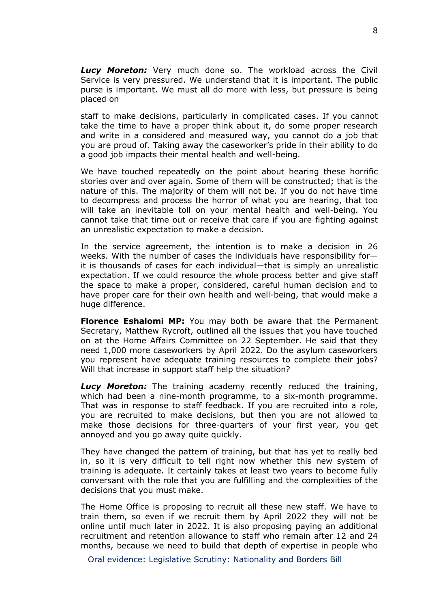*Lucy Moreton:* Very much done so. The workload across the Civil Service is very pressured. We understand that it is important. The public purse is important. We must all do more with less, but pressure is being placed on

staff to make decisions, particularly in complicated cases. If you cannot take the time to have a proper think about it, do some proper research and write in a considered and measured way, you cannot do a job that you are proud of. Taking away the caseworker's pride in their ability to do a good job impacts their mental health and well-being.

We have touched repeatedly on the point about hearing these horrific stories over and over again. Some of them will be constructed; that is the nature of this. The majority of them will not be. If you do not have time to decompress and process the horror of what you are hearing, that too will take an inevitable toll on your mental health and well-being. You cannot take that time out or receive that care if you are fighting against an unrealistic expectation to make a decision.

In the service agreement, the intention is to make a decision in 26 weeks. With the number of cases the individuals have responsibility for it is thousands of cases for each individual—that is simply an unrealistic expectation. If we could resource the whole process better and give staff the space to make a proper, considered, careful human decision and to have proper care for their own health and well-being, that would make a huge difference.

**Florence Eshalomi MP:** You may both be aware that the Permanent Secretary, Matthew Rycroft, outlined all the issues that you have touched on at the Home Affairs Committee on 22 September. He said that they need 1,000 more caseworkers by April 2022. Do the asylum caseworkers you represent have adequate training resources to complete their jobs? Will that increase in support staff help the situation?

*Lucy Moreton:* The training academy recently reduced the training, which had been a nine-month programme, to a six-month programme. That was in response to staff feedback. If you are recruited into a role, you are recruited to make decisions, but then you are not allowed to make those decisions for three-quarters of your first year, you get annoyed and you go away quite quickly.

They have changed the pattern of training, but that has yet to really bed in, so it is very difficult to tell right now whether this new system of training is adequate. It certainly takes at least two years to become fully conversant with the role that you are fulfilling and the complexities of the decisions that you must make.

The Home Office is proposing to recruit all these new staff. We have to train them, so even if we recruit them by April 2022 they will not be online until much later in 2022. It is also proposing paying an additional recruitment and retention allowance to staff who remain after 12 and 24 months, because we need to build that depth of expertise in people who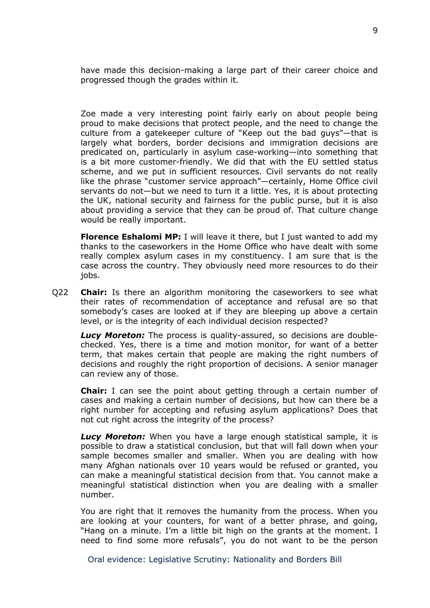have made this decision-making a large part of their career choice and progressed though the grades within it.

Zoe made a very interesting point fairly early on about people being proud to make decisions that protect people, and the need to change the culture from a gatekeeper culture of "Keep out the bad guys"—that is largely what borders, border decisions and immigration decisions are predicated on, particularly in asylum case-working—into something that is a bit more customer-friendly. We did that with the EU settled status scheme, and we put in sufficient resources. Civil servants do not really like the phrase "customer service approach"—certainly, Home Office civil servants do not—but we need to turn it a little. Yes, it is about protecting the UK, national security and fairness for the public purse, but it is also about providing a service that they can be proud of. That culture change would be really important.

**Florence Eshalomi MP:** I will leave it there, but I just wanted to add my thanks to the caseworkers in the Home Office who have dealt with some really complex asylum cases in my constituency. I am sure that is the case across the country. They obviously need more resources to do their jobs.

Q22 **Chair:** Is there an algorithm monitoring the caseworkers to see what their rates of recommendation of acceptance and refusal are so that somebody's cases are looked at if they are bleeping up above a certain level, or is the integrity of each individual decision respected?

*Lucy Moreton:* The process is quality-assured, so decisions are doublechecked. Yes, there is a time and motion monitor, for want of a better term, that makes certain that people are making the right numbers of decisions and roughly the right proportion of decisions. A senior manager can review any of those.

**Chair:** I can see the point about getting through a certain number of cases and making a certain number of decisions, but how can there be a right number for accepting and refusing asylum applications? Does that not cut right across the integrity of the process?

*Lucy Moreton:* When you have a large enough statistical sample, it is possible to draw a statistical conclusion, but that will fall down when your sample becomes smaller and smaller. When you are dealing with how many Afghan nationals over 10 years would be refused or granted, you can make a meaningful statistical decision from that. You cannot make a meaningful statistical distinction when you are dealing with a smaller number.

You are right that it removes the humanity from the process. When you are looking at your counters, for want of a better phrase, and going, "Hang on a minute. I'm a little bit high on the grants at the moment. I need to find some more refusals", you do not want to be the person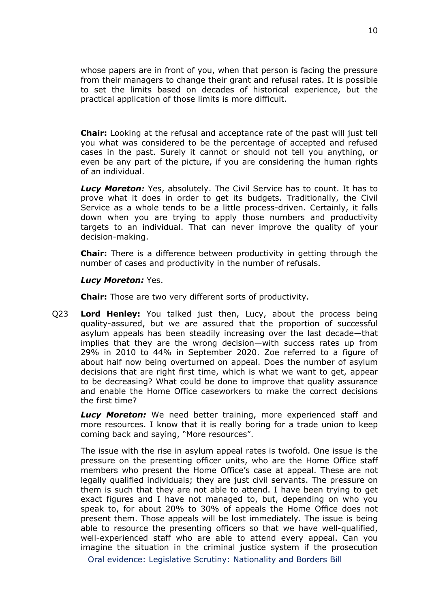whose papers are in front of you, when that person is facing the pressure from their managers to change their grant and refusal rates. It is possible to set the limits based on decades of historical experience, but the practical application of those limits is more difficult.

**Chair:** Looking at the refusal and acceptance rate of the past will just tell you what was considered to be the percentage of accepted and refused cases in the past. Surely it cannot or should not tell you anything, or even be any part of the picture, if you are considering the human rights of an individual.

*Lucy Moreton:* Yes, absolutely. The Civil Service has to count. It has to prove what it does in order to get its budgets. Traditionally, the Civil Service as a whole tends to be a little process-driven. Certainly, it falls down when you are trying to apply those numbers and productivity targets to an individual. That can never improve the quality of your decision-making.

**Chair:** There is a difference between productivity in getting through the number of cases and productivity in the number of refusals.

## *Lucy Moreton:* Yes.

**Chair:** Those are two very different sorts of productivity.

Q23 **Lord Henley:** You talked just then, Lucy, about the process being quality-assured, but we are assured that the proportion of successful asylum appeals has been steadily increasing over the last decade—that implies that they are the wrong decision—with success rates up from 29% in 2010 to 44% in September 2020. Zoe referred to a figure of about half now being overturned on appeal. Does the number of asylum decisions that are right first time, which is what we want to get, appear to be decreasing? What could be done to improve that quality assurance and enable the Home Office caseworkers to make the correct decisions the first time?

*Lucy Moreton:* We need better training, more experienced staff and more resources. I know that it is really boring for a trade union to keep coming back and saying, "More resources".

The issue with the rise in asylum appeal rates is twofold. One issue is the pressure on the presenting officer units, who are the Home Office staff members who present the Home Office's case at appeal. These are not legally qualified individuals; they are just civil servants. The pressure on them is such that they are not able to attend. I have been trying to get exact figures and I have not managed to, but, depending on who you speak to, for about 20% to 30% of appeals the Home Office does not present them. Those appeals will be lost immediately. The issue is being able to resource the presenting officers so that we have well-qualified, well-experienced staff who are able to attend every appeal. Can you imagine the situation in the criminal justice system if the prosecution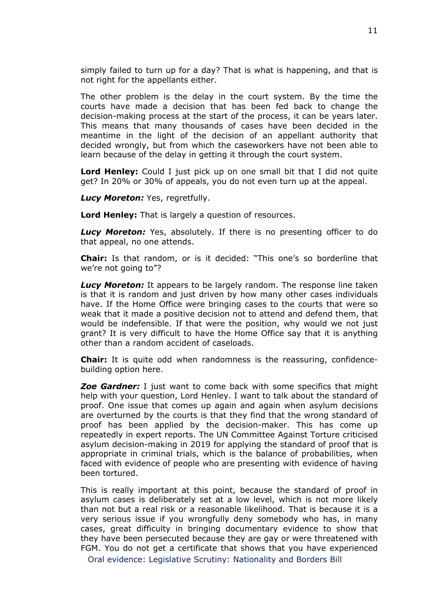simply failed to turn up for a day? That is what is happening, and that is not right for the appellants either.

The other problem is the delay in the court system. By the time the courts have made a decision that has been fed back to change the decision-making process at the start of the process, it can be years later. This means that many thousands of cases have been decided in the meantime in the light of the decision of an appellant authority that decided wrongly, but from which the caseworkers have not been able to learn because of the delay in getting it through the court system.

**Lord Henley:** Could I just pick up on one small bit that I did not quite get? In 20% or 30% of appeals, you do not even turn up at the appeal.

*Lucy Moreton:* Yes, regretfully.

**Lord Henley:** That is largely a question of resources.

**Lucy Moreton:** Yes, absolutely. If there is no presenting officer to do that appeal, no one attends.

**Chair:** Is that random, or is it decided: "This one's so borderline that we're not going to"?

*Lucy Moreton:* It appears to be largely random. The response line taken is that it is random and just driven by how many other cases individuals have. If the Home Office were bringing cases to the courts that were so weak that it made a positive decision not to attend and defend them, that would be indefensible. If that were the position, why would we not just grant? It is very difficult to have the Home Office say that it is anything other than a random accident of caseloads.

**Chair:** It is quite odd when randomness is the reassuring, confidencebuilding option here.

*Zoe Gardner:* I just want to come back with some specifics that might help with your question, Lord Henley. I want to talk about the standard of proof. One issue that comes up again and again when asylum decisions are overturned by the courts is that they find that the wrong standard of proof has been applied by the decision-maker. This has come up repeatedly in expert reports. The UN Committee Against Torture criticised asylum decision-making in 2019 for applying the standard of proof that is appropriate in criminal trials, which is the balance of probabilities, when faced with evidence of people who are presenting with evidence of having been tortured.

This is really important at this point, because the standard of proof in asylum cases is deliberately set at a low level, which is not more likely than not but a real risk or a reasonable likelihood. That is because it is a very serious issue if you wrongfully deny somebody who has, in many cases, great difficulty in bringing documentary evidence to show that they have been persecuted because they are gay or were threatened with FGM. You do not get a certificate that shows that you have experienced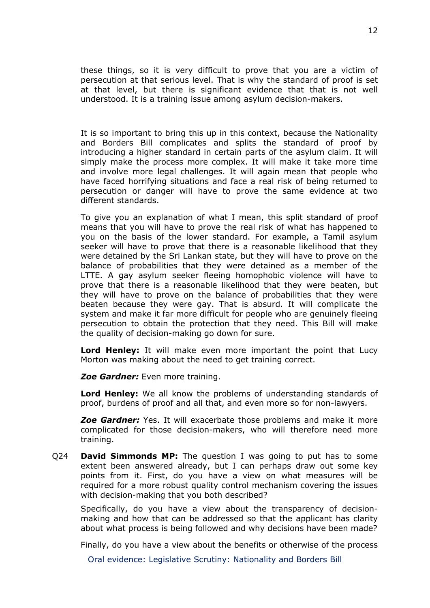these things, so it is very difficult to prove that you are a victim of persecution at that serious level. That is why the standard of proof is set at that level, but there is significant evidence that that is not well understood. It is a training issue among asylum decision-makers.

It is so important to bring this up in this context, because the Nationality and Borders Bill complicates and splits the standard of proof by introducing a higher standard in certain parts of the asylum claim. It will simply make the process more complex. It will make it take more time and involve more legal challenges. It will again mean that people who have faced horrifying situations and face a real risk of being returned to persecution or danger will have to prove the same evidence at two different standards.

To give you an explanation of what I mean, this split standard of proof means that you will have to prove the real risk of what has happened to you on the basis of the lower standard. For example, a Tamil asylum seeker will have to prove that there is a reasonable likelihood that they were detained by the Sri Lankan state, but they will have to prove on the balance of probabilities that they were detained as a member of the LTTE. A gay asylum seeker fleeing homophobic violence will have to prove that there is a reasonable likelihood that they were beaten, but they will have to prove on the balance of probabilities that they were beaten because they were gay. That is absurd. It will complicate the system and make it far more difficult for people who are genuinely fleeing persecution to obtain the protection that they need. This Bill will make the quality of decision-making go down for sure.

**Lord Henley:** It will make even more important the point that Lucy Morton was making about the need to get training correct.

*Zoe Gardner:* Even more training.

**Lord Henley:** We all know the problems of understanding standards of proof, burdens of proof and all that, and even more so for non-lawyers.

*Zoe Gardner:* Yes. It will exacerbate those problems and make it more complicated for those decision-makers, who will therefore need more training.

Q24 **David Simmonds MP:** The question I was going to put has to some extent been answered already, but I can perhaps draw out some key points from it. First, do you have a view on what measures will be required for a more robust quality control mechanism covering the issues with decision-making that you both described?

Specifically, do you have a view about the transparency of decisionmaking and how that can be addressed so that the applicant has clarity about what process is being followed and why decisions have been made?

Finally, do you have a view about the benefits or otherwise of the process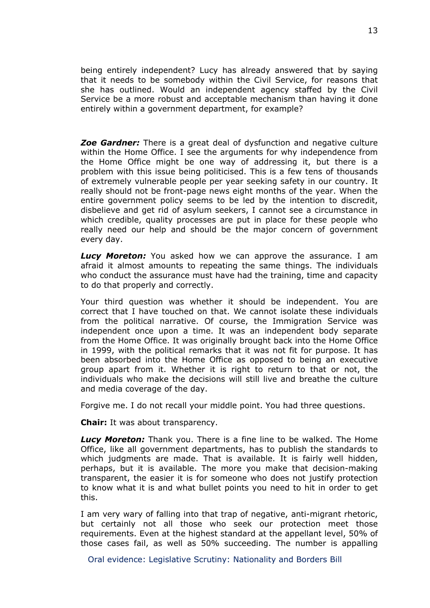being entirely independent? Lucy has already answered that by saying that it needs to be somebody within the Civil Service, for reasons that she has outlined. Would an independent agency staffed by the Civil Service be a more robust and acceptable mechanism than having it done entirely within a government department, for example?

*Zoe Gardner:* There is a great deal of dysfunction and negative culture within the Home Office. I see the arguments for why independence from the Home Office might be one way of addressing it, but there is a problem with this issue being politicised. This is a few tens of thousands of extremely vulnerable people per year seeking safety in our country. It really should not be front-page news eight months of the year. When the entire government policy seems to be led by the intention to discredit, disbelieve and get rid of asylum seekers, I cannot see a circumstance in which credible, quality processes are put in place for these people who really need our help and should be the major concern of government every day.

*Lucy Moreton:* You asked how we can approve the assurance. I am afraid it almost amounts to repeating the same things. The individuals who conduct the assurance must have had the training, time and capacity to do that properly and correctly.

Your third question was whether it should be independent. You are correct that I have touched on that. We cannot isolate these individuals from the political narrative. Of course, the Immigration Service was independent once upon a time. It was an independent body separate from the Home Office. It was originally brought back into the Home Office in 1999, with the political remarks that it was not fit for purpose. It has been absorbed into the Home Office as opposed to being an executive group apart from it. Whether it is right to return to that or not, the individuals who make the decisions will still live and breathe the culture and media coverage of the day.

Forgive me. I do not recall your middle point. You had three questions.

**Chair:** It was about transparency.

*Lucy Moreton:* Thank you. There is a fine line to be walked. The Home Office, like all government departments, has to publish the standards to which judgments are made. That is available. It is fairly well hidden, perhaps, but it is available. The more you make that decision-making transparent, the easier it is for someone who does not justify protection to know what it is and what bullet points you need to hit in order to get this.

I am very wary of falling into that trap of negative, anti-migrant rhetoric, but certainly not all those who seek our protection meet those requirements. Even at the highest standard at the appellant level, 50% of those cases fail, as well as 50% succeeding. The number is appalling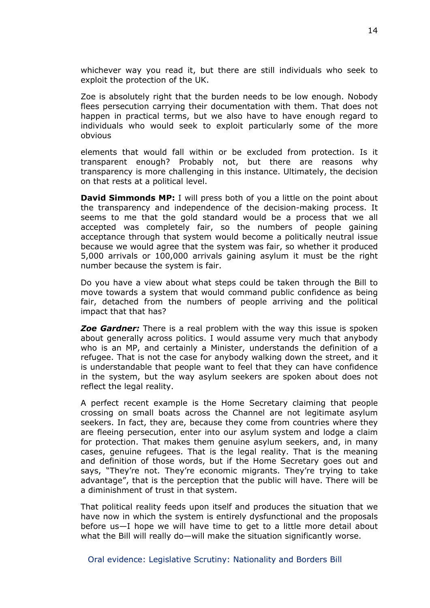whichever way you read it, but there are still individuals who seek to exploit the protection of the UK.

Zoe is absolutely right that the burden needs to be low enough. Nobody flees persecution carrying their documentation with them. That does not happen in practical terms, but we also have to have enough regard to individuals who would seek to exploit particularly some of the more obvious

elements that would fall within or be excluded from protection. Is it transparent enough? Probably not, but there are reasons why transparency is more challenging in this instance. Ultimately, the decision on that rests at a political level.

**David Simmonds MP:** I will press both of you a little on the point about the transparency and independence of the decision-making process. It seems to me that the gold standard would be a process that we all accepted was completely fair, so the numbers of people gaining acceptance through that system would become a politically neutral issue because we would agree that the system was fair, so whether it produced 5,000 arrivals or 100,000 arrivals gaining asylum it must be the right number because the system is fair.

Do you have a view about what steps could be taken through the Bill to move towards a system that would command public confidence as being fair, detached from the numbers of people arriving and the political impact that that has?

*Zoe Gardner:* There is a real problem with the way this issue is spoken about generally across politics. I would assume very much that anybody who is an MP, and certainly a Minister, understands the definition of a refugee. That is not the case for anybody walking down the street, and it is understandable that people want to feel that they can have confidence in the system, but the way asylum seekers are spoken about does not reflect the legal reality.

A perfect recent example is the Home Secretary claiming that people crossing on small boats across the Channel are not legitimate asylum seekers. In fact, they are, because they come from countries where they are fleeing persecution, enter into our asylum system and lodge a claim for protection. That makes them genuine asylum seekers, and, in many cases, genuine refugees. That is the legal reality. That is the meaning and definition of those words, but if the Home Secretary goes out and says, "They're not. They're economic migrants. They're trying to take advantage", that is the perception that the public will have. There will be a diminishment of trust in that system.

That political reality feeds upon itself and produces the situation that we have now in which the system is entirely dysfunctional and the proposals before us—I hope we will have time to get to a little more detail about what the Bill will really do—will make the situation significantly worse.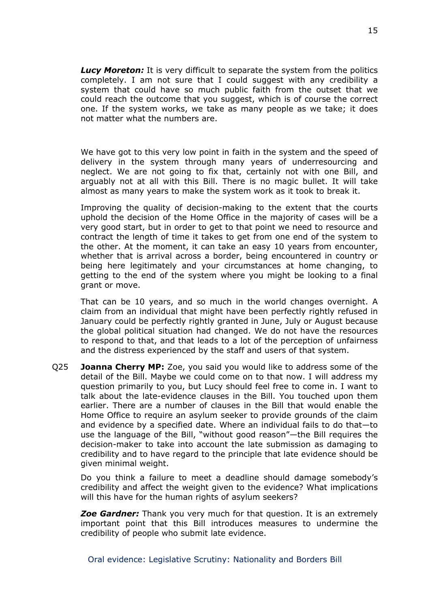*Lucy Moreton:* It is very difficult to separate the system from the politics completely. I am not sure that I could suggest with any credibility a system that could have so much public faith from the outset that we could reach the outcome that you suggest, which is of course the correct one. If the system works, we take as many people as we take; it does not matter what the numbers are.

We have got to this very low point in faith in the system and the speed of delivery in the system through many years of underresourcing and neglect. We are not going to fix that, certainly not with one Bill, and arguably not at all with this Bill. There is no magic bullet. It will take almost as many years to make the system work as it took to break it.

Improving the quality of decision-making to the extent that the courts uphold the decision of the Home Office in the majority of cases will be a very good start, but in order to get to that point we need to resource and contract the length of time it takes to get from one end of the system to the other. At the moment, it can take an easy 10 years from encounter, whether that is arrival across a border, being encountered in country or being here legitimately and your circumstances at home changing, to getting to the end of the system where you might be looking to a final grant or move.

That can be 10 years, and so much in the world changes overnight. A claim from an individual that might have been perfectly rightly refused in January could be perfectly rightly granted in June, July or August because the global political situation had changed. We do not have the resources to respond to that, and that leads to a lot of the perception of unfairness and the distress experienced by the staff and users of that system.

Q25 **Joanna Cherry MP:** Zoe, you said you would like to address some of the detail of the Bill. Maybe we could come on to that now. I will address my question primarily to you, but Lucy should feel free to come in. I want to talk about the late-evidence clauses in the Bill. You touched upon them earlier. There are a number of clauses in the Bill that would enable the Home Office to require an asylum seeker to provide grounds of the claim and evidence by a specified date. Where an individual fails to do that—to use the language of the Bill, "without good reason"—the Bill requires the decision-maker to take into account the late submission as damaging to credibility and to have regard to the principle that late evidence should be given minimal weight.

Do you think a failure to meet a deadline should damage somebody's credibility and affect the weight given to the evidence? What implications will this have for the human rights of asylum seekers?

*Zoe Gardner:* Thank you very much for that question. It is an extremely important point that this Bill introduces measures to undermine the credibility of people who submit late evidence.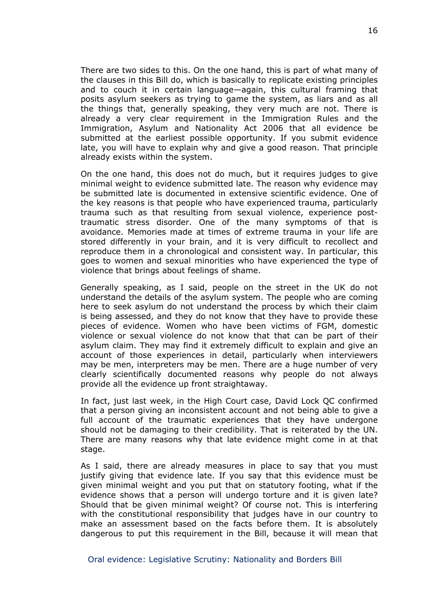There are two sides to this. On the one hand, this is part of what many of the clauses in this Bill do, which is basically to replicate existing principles and to couch it in certain language—again, this cultural framing that posits asylum seekers as trying to game the system, as liars and as all the things that, generally speaking, they very much are not. There is already a very clear requirement in the Immigration Rules and the Immigration, Asylum and Nationality Act 2006 that all evidence be submitted at the earliest possible opportunity. If you submit evidence late, you will have to explain why and give a good reason. That principle already exists within the system.

On the one hand, this does not do much, but it requires judges to give minimal weight to evidence submitted late. The reason why evidence may be submitted late is documented in extensive scientific evidence. One of the key reasons is that people who have experienced trauma, particularly trauma such as that resulting from sexual violence, experience posttraumatic stress disorder. One of the many symptoms of that is avoidance. Memories made at times of extreme trauma in your life are stored differently in your brain, and it is very difficult to recollect and reproduce them in a chronological and consistent way. In particular, this goes to women and sexual minorities who have experienced the type of violence that brings about feelings of shame.

Generally speaking, as I said, people on the street in the UK do not understand the details of the asylum system. The people who are coming here to seek asylum do not understand the process by which their claim is being assessed, and they do not know that they have to provide these pieces of evidence. Women who have been victims of FGM, domestic violence or sexual violence do not know that that can be part of their asylum claim. They may find it extremely difficult to explain and give an account of those experiences in detail, particularly when interviewers may be men, interpreters may be men. There are a huge number of very clearly scientifically documented reasons why people do not always provide all the evidence up front straightaway.

In fact, just last week, in the High Court case, David Lock QC confirmed that a person giving an inconsistent account and not being able to give a full account of the traumatic experiences that they have undergone should not be damaging to their credibility. That is reiterated by the UN. There are many reasons why that late evidence might come in at that stage.

As I said, there are already measures in place to say that you must justify giving that evidence late. If you say that this evidence must be given minimal weight and you put that on statutory footing, what if the evidence shows that a person will undergo torture and it is given late? Should that be given minimal weight? Of course not. This is interfering with the constitutional responsibility that judges have in our country to make an assessment based on the facts before them. It is absolutely dangerous to put this requirement in the Bill, because it will mean that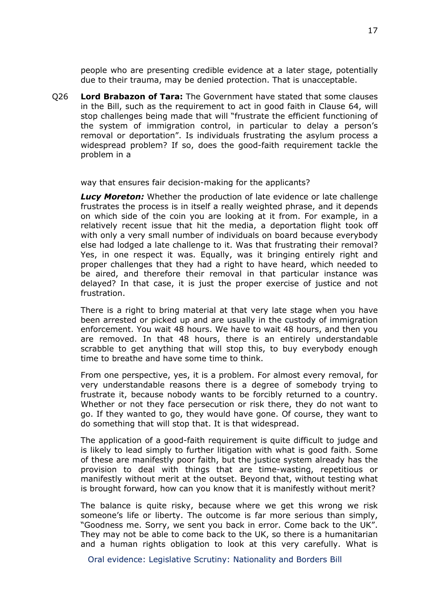people who are presenting credible evidence at a later stage, potentially due to their trauma, may be denied protection. That is unacceptable.

Q26 **Lord Brabazon of Tara:** The Government have stated that some clauses in the Bill, such as the requirement to act in good faith in Clause 64, will stop challenges being made that will "frustrate the efficient functioning of the system of immigration control, in particular to delay a person's removal or deportation". Is individuals frustrating the asylum process a widespread problem? If so, does the good-faith requirement tackle the problem in a

way that ensures fair decision-making for the applicants?

*Lucy Moreton:* Whether the production of late evidence or late challenge frustrates the process is in itself a really weighted phrase, and it depends on which side of the coin you are looking at it from. For example, in a relatively recent issue that hit the media, a deportation flight took off with only a very small number of individuals on board because everybody else had lodged a late challenge to it. Was that frustrating their removal? Yes, in one respect it was. Equally, was it bringing entirely right and proper challenges that they had a right to have heard, which needed to be aired, and therefore their removal in that particular instance was delayed? In that case, it is just the proper exercise of justice and not frustration.

There is a right to bring material at that very late stage when you have been arrested or picked up and are usually in the custody of immigration enforcement. You wait 48 hours. We have to wait 48 hours, and then you are removed. In that 48 hours, there is an entirely understandable scrabble to get anything that will stop this, to buy everybody enough time to breathe and have some time to think.

From one perspective, yes, it is a problem. For almost every removal, for very understandable reasons there is a degree of somebody trying to frustrate it, because nobody wants to be forcibly returned to a country. Whether or not they face persecution or risk there, they do not want to go. If they wanted to go, they would have gone. Of course, they want to do something that will stop that. It is that widespread.

The application of a good-faith requirement is quite difficult to judge and is likely to lead simply to further litigation with what is good faith. Some of these are manifestly poor faith, but the justice system already has the provision to deal with things that are time-wasting, repetitious or manifestly without merit at the outset. Beyond that, without testing what is brought forward, how can you know that it is manifestly without merit?

The balance is quite risky, because where we get this wrong we risk someone's life or liberty. The outcome is far more serious than simply, "Goodness me. Sorry, we sent you back in error. Come back to the UK". They may not be able to come back to the UK, so there is a humanitarian and a human rights obligation to look at this very carefully. What is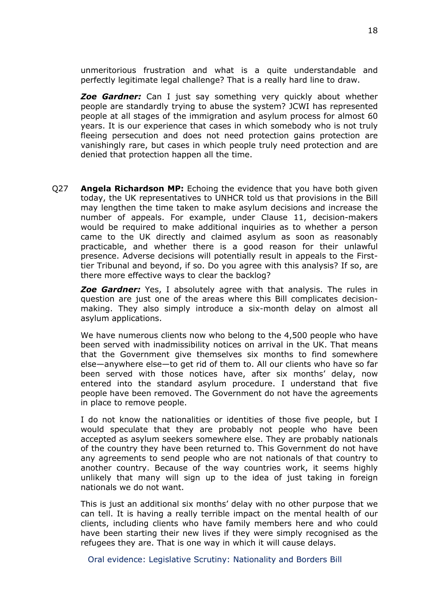unmeritorious frustration and what is a quite understandable and perfectly legitimate legal challenge? That is a really hard line to draw.

*Zoe Gardner:* Can I just say something very quickly about whether people are standardly trying to abuse the system? JCWI has represented people at all stages of the immigration and asylum process for almost 60 years. It is our experience that cases in which somebody who is not truly fleeing persecution and does not need protection gains protection are vanishingly rare, but cases in which people truly need protection and are denied that protection happen all the time.

Q27 **Angela Richardson MP:** Echoing the evidence that you have both given today, the UK representatives to UNHCR told us that provisions in the Bill may lengthen the time taken to make asylum decisions and increase the number of appeals. For example, under Clause 11, decision-makers would be required to make additional inquiries as to whether a person came to the UK directly and claimed asylum as soon as reasonably practicable, and whether there is a good reason for their unlawful presence. Adverse decisions will potentially result in appeals to the Firsttier Tribunal and beyond, if so. Do you agree with this analysis? If so, are there more effective ways to clear the backlog?

*Zoe Gardner:* Yes, I absolutely agree with that analysis. The rules in question are just one of the areas where this Bill complicates decisionmaking. They also simply introduce a six-month delay on almost all asylum applications.

We have numerous clients now who belong to the 4,500 people who have been served with inadmissibility notices on arrival in the UK. That means that the Government give themselves six months to find somewhere else—anywhere else—to get rid of them to. All our clients who have so far been served with those notices have, after six months' delay, now entered into the standard asylum procedure. I understand that five people have been removed. The Government do not have the agreements in place to remove people.

I do not know the nationalities or identities of those five people, but I would speculate that they are probably not people who have been accepted as asylum seekers somewhere else. They are probably nationals of the country they have been returned to. This Government do not have any agreements to send people who are not nationals of that country to another country. Because of the way countries work, it seems highly unlikely that many will sign up to the idea of just taking in foreign nationals we do not want.

This is just an additional six months' delay with no other purpose that we can tell. It is having a really terrible impact on the mental health of our clients, including clients who have family members here and who could have been starting their new lives if they were simply recognised as the refugees they are. That is one way in which it will cause delays.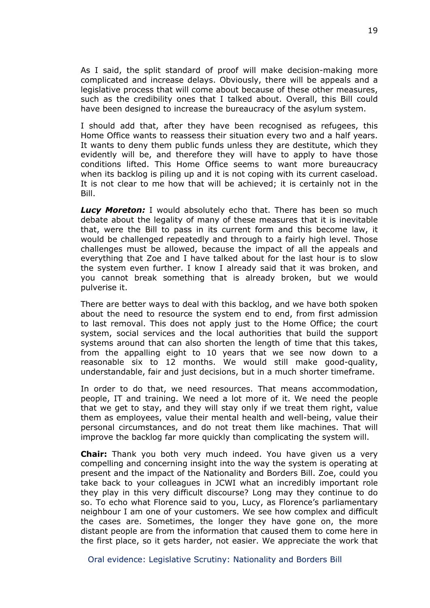As I said, the split standard of proof will make decision-making more complicated and increase delays. Obviously, there will be appeals and a legislative process that will come about because of these other measures, such as the credibility ones that I talked about. Overall, this Bill could have been designed to increase the bureaucracy of the asylum system.

I should add that, after they have been recognised as refugees, this Home Office wants to reassess their situation every two and a half years. It wants to deny them public funds unless they are destitute, which they evidently will be, and therefore they will have to apply to have those conditions lifted. This Home Office seems to want more bureaucracy when its backlog is piling up and it is not coping with its current caseload. It is not clear to me how that will be achieved; it is certainly not in the Bill.

*Lucy Moreton:* I would absolutely echo that. There has been so much debate about the legality of many of these measures that it is inevitable that, were the Bill to pass in its current form and this become law, it would be challenged repeatedly and through to a fairly high level. Those challenges must be allowed, because the impact of all the appeals and everything that Zoe and I have talked about for the last hour is to slow the system even further. I know I already said that it was broken, and you cannot break something that is already broken, but we would pulverise it.

There are better ways to deal with this backlog, and we have both spoken about the need to resource the system end to end, from first admission to last removal. This does not apply just to the Home Office; the court system, social services and the local authorities that build the support systems around that can also shorten the length of time that this takes, from the appalling eight to 10 years that we see now down to a reasonable six to 12 months. We would still make good-quality, understandable, fair and just decisions, but in a much shorter timeframe.

In order to do that, we need resources. That means accommodation, people, IT and training. We need a lot more of it. We need the people that we get to stay, and they will stay only if we treat them right, value them as employees, value their mental health and well-being, value their personal circumstances, and do not treat them like machines. That will improve the backlog far more quickly than complicating the system will.

**Chair:** Thank you both very much indeed. You have given us a very compelling and concerning insight into the way the system is operating at present and the impact of the Nationality and Borders Bill. Zoe, could you take back to your colleagues in JCWI what an incredibly important role they play in this very difficult discourse? Long may they continue to do so. To echo what Florence said to you, Lucy, as Florence's parliamentary neighbour I am one of your customers. We see how complex and difficult the cases are. Sometimes, the longer they have gone on, the more distant people are from the information that caused them to come here in the first place, so it gets harder, not easier. We appreciate the work that